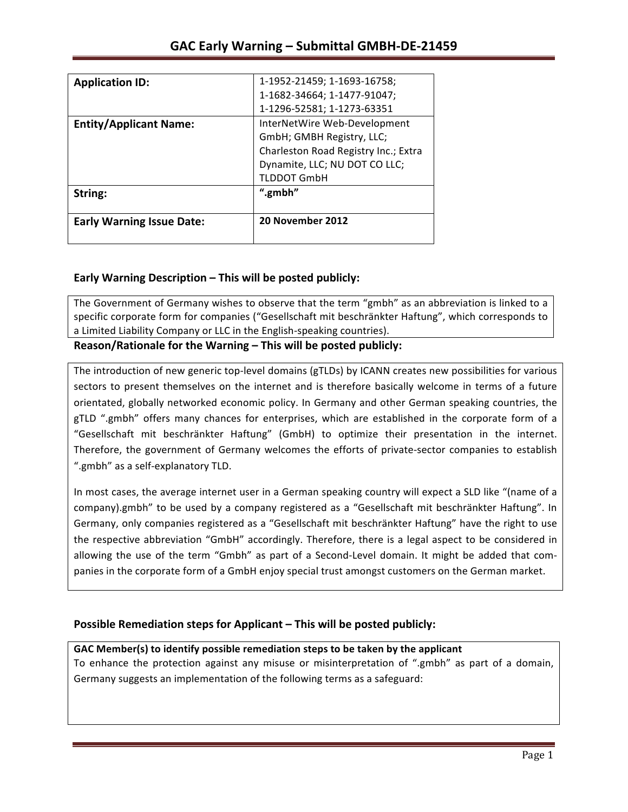| <b>Application ID:</b>           | 1-1952-21459; 1-1693-16758;          |
|----------------------------------|--------------------------------------|
|                                  | 1-1682-34664; 1-1477-91047;          |
|                                  | 1-1296-52581; 1-1273-63351           |
| <b>Entity/Applicant Name:</b>    | InterNetWire Web-Development         |
|                                  | GmbH; GMBH Registry, LLC;            |
|                                  | Charleston Road Registry Inc.; Extra |
|                                  | Dynamite, LLC; NU DOT CO LLC;        |
|                                  | <b>TLDDOT GmbH</b>                   |
| String:                          | ".gmbh"                              |
| <b>Early Warning Issue Date:</b> | 20 November 2012                     |

## **Early Warning Description – This will be posted publicly:**

The Government of Germany wishes to observe that the term "gmbh" as an abbreviation is linked to a specific corporate form for companies ("Gesellschaft mit beschränkter Haftung", which corresponds to a Limited Liability Company or LLC in the English-speaking countries).

Reason/Rationale for the Warning – This will be posted publicly:

The introduction of new generic top-level domains (gTLDs) by ICANN creates new possibilities for various sectors to present themselves on the internet and is therefore basically welcome in terms of a future orientated, globally networked economic policy. In Germany and other German speaking countries, the gTLD ".gmbh" offers many chances for enterprises, which are established in the corporate form of a "Gesellschaft mit beschränkter Haftung" (GmbH) to optimize their presentation in the internet. Therefore, the government of Germany welcomes the efforts of private-sector companies to establish ".gmbh" as a self-explanatory TLD.

In most cases, the average internet user in a German speaking country will expect a SLD like "(name of a company).gmbh" to be used by a company registered as a "Gesellschaft mit beschränkter Haftung". In Germany, only companies registered as a "Gesellschaft mit beschränkter Haftung" have the right to use the respective abbreviation "GmbH" accordingly. Therefore, there is a legal aspect to be considered in allowing the use of the term "Gmbh" as part of a Second-Level domain. It might be added that companies in the corporate form of a GmbH enjoy special trust amongst customers on the German market.

### **Possible Remediation steps for Applicant – This will be posted publicly:**

### GAC Member(s) to identify possible remediation steps to be taken by the applicant

To enhance the protection against any misuse or misinterpretation of ".gmbh" as part of a domain, Germany suggests an implementation of the following terms as a safeguard: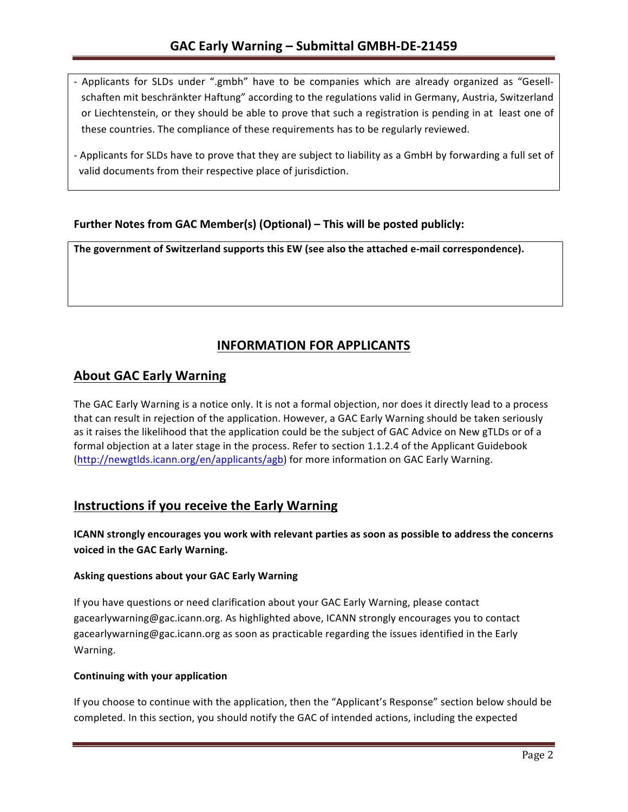- Applicants for SLDs under ".gmbh" have to be companies which are already organized as "Gesellschaften mit beschränkter Haftung" according to the regulations valid in Germany, Austria, Switzerland or Liechtenstein, or they should be able to prove that such a registration is pending in at least one of these countries. The compliance of these requirements has to be regularly reviewed.
- Applicants for SLDs have to prove that they are subject to liability as a GmbH by forwarding a full set of valid documents from their respective place of jurisdiction.

## **Further Notes from GAC Member(s) (Optional)** – This will be posted publicly:

The government of Switzerland supports this EW (see also the attached e-mail correspondence).

# **INFORMATION FOR APPLICANTS**

## **About GAC Early Warning**

The GAC Early Warning is a notice only. It is not a formal objection, nor does it directly lead to a process that can result in rejection of the application. However, a GAC Early Warning should be taken seriously as it raises the likelihood that the application could be the subject of GAC Advice on New gTLDs or of a formal objection at a later stage in the process. Refer to section 1.1.2.4 of the Applicant Guidebook (http://newgtlds.icann.org/en/applicants/agb) for more information on GAC Early Warning.

# **Instructions if you receive the Early Warning**

**ICANN** strongly encourages you work with relevant parties as soon as possible to address the concerns voiced in the GAC Early Warning.

#### **Asking questions about your GAC Early Warning**

If you have questions or need clarification about your GAC Early Warning, please contact gacearlywarning@gac.icann.org. As highlighted above, ICANN strongly encourages you to contact gacearlywarning@gac.icann.org as soon as practicable regarding the issues identified in the Early Warning. 

#### **Continuing with your application**

If you choose to continue with the application, then the "Applicant's Response" section below should be completed. In this section, you should notify the GAC of intended actions, including the expected